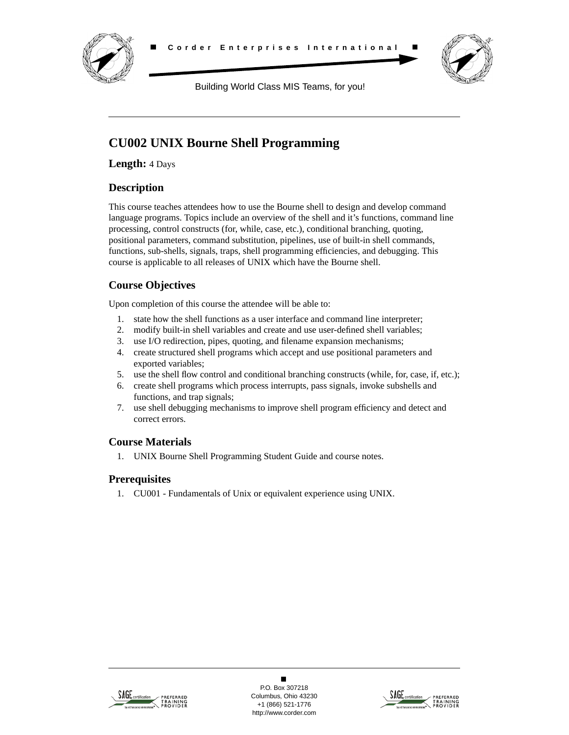



Building World Class MIS Teams, for you!

# **CU002 UNIX Bourne Shell Programming**

**Length:** 4 Days

# **Description**

This course teaches attendees how to use the Bourne shell to design and develop command language programs. Topics include an overview of the shell and it's functions, command line processing, control constructs (for, while, case, etc.), conditional branching, quoting, positional parameters, command substitution, pipelines, use of built-in shell commands, functions, sub-shells, signals, traps, shell programming efficiencies, and debugging. This course is applicable to all releases of UNIX which have the Bourne shell.

# **Course Objectives**

Upon completion of this course the attendee will be able to:

- 1. state how the shell functions as a user interface and command line interpreter;
- 2. modify built-in shell variables and create and use user-defined shell variables;
- 3. use I/O redirection, pipes, quoting, and filename expansion mechanisms;
- 4. create structured shell programs which accept and use positional parameters and exported variables;
- 5. use the shell flow control and conditional branching constructs (while, for, case, if, etc.);
- 6. create shell programs which process interrupts, pass signals, invoke subshells and functions, and trap signals;
- 7. use shell debugging mechanisms to improve shell program efficiency and detect and correct errors.

# **Course Materials**

1. UNIX Bourne Shell Programming Student Guide and course notes.

# **Prerequisites**

1. CU001 - Fundamentals of Unix or equivalent experience using UNIX.



 $\blacksquare$ P.O. Box 307218 Columbus, Ohio 43230 +1 (866) 521-1776 http://www.corder.com

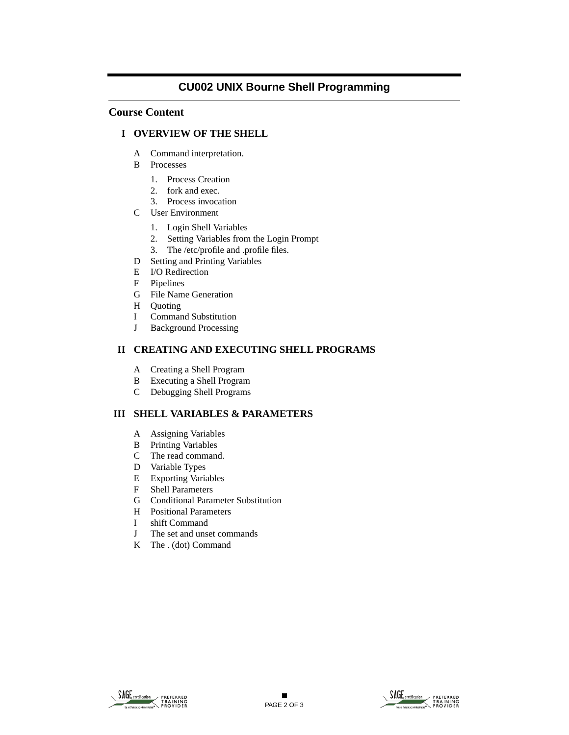# **CU002 UNIX Bourne Shell Programming**

### **Course Content**

### **I OVERVIEW OF THE SHELL**

- A Command interpretation.
- B Processes
	- 1. Process Creation
	- 2. fork and exec.
	- 3. Process invocation
- C User Environment
	- 1. Login Shell Variables
	- 2. Setting Variables from the Login Prompt
	- 3. The /etc/profile and .profile files.
- D Setting and Printing Variables
- E I/O Redirection
- F Pipelines
- G File Name Generation
- H Quoting
- I Command Substitution
- J Background Processing

### **II CREATING AND EXECUTING SHELL PROGRAMS**

- A Creating a Shell Program
- B Executing a Shell Program
- C Debugging Shell Programs

### **III SHELL VARIABLES & PARAMETERS**

- A Assigning Variables
- B Printing Variables
- C The read command.
- D Variable Types
- E Exporting Variables
- F Shell Parameters
- G Conditional Parameter Substitution
- H Positional Parameters
- I shift Command
- J The set and unset commands
- K The . (dot) Command